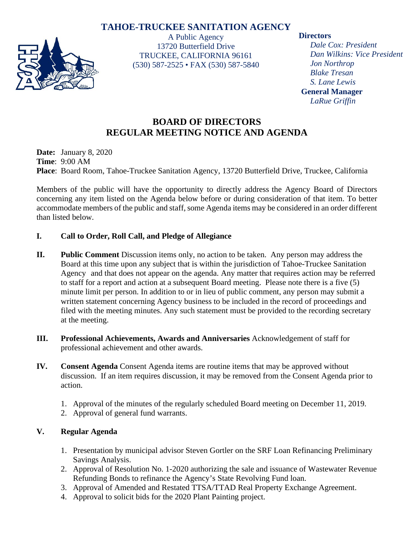# **TAHOE-TRUCKEE SANITATION AGENCY**



A Public Agency 13720 Butterfield Drive TRUCKEE, CALIFORNIA 96161 (530) 587-2525 • FAX (530) 587-5840

### **Directors**

*Dale Cox: President Dan Wilkins: Vice President Jon Northrop Blake Tresan S. Lane Lewis* **General Manager** *LaRue Griffin*

## **BOARD OF DIRECTORS REGULAR MEETING NOTICE AND AGENDA**

**Date:** January 8, 2020 **Time**: 9:00 AM **Place**: Board Room, Tahoe-Truckee Sanitation Agency, 13720 Butterfield Drive, Truckee, California

Members of the public will have the opportunity to directly address the Agency Board of Directors concerning any item listed on the Agenda below before or during consideration of that item. To better accommodate members of the public and staff, some Agenda items may be considered in an order different than listed below.

## **I. Call to Order, Roll Call, and Pledge of Allegiance**

- **II. Public Comment** Discussion items only, no action to be taken. Any person may address the Board at this time upon any subject that is within the jurisdiction of Tahoe-Truckee Sanitation Agency and that does not appear on the agenda. Any matter that requires action may be referred to staff for a report and action at a subsequent Board meeting. Please note there is a five (5) minute limit per person. In addition to or in lieu of public comment, any person may submit a written statement concerning Agency business to be included in the record of proceedings and filed with the meeting minutes. Any such statement must be provided to the recording secretary at the meeting.
- **III. Professional Achievements, Awards and Anniversaries** Acknowledgement of staff for professional achievement and other awards.
- **IV. Consent Agenda** Consent Agenda items are routine items that may be approved without discussion. If an item requires discussion, it may be removed from the Consent Agenda prior to action.
	- 1. Approval of the minutes of the regularly scheduled Board meeting on December 11, 2019.
	- 2. Approval of general fund warrants.

## **V. Regular Agenda**

- 1. Presentation by municipal advisor Steven Gortler on the SRF Loan Refinancing Preliminary Savings Analysis.
- 2. Approval of Resolution No. 1-2020 authorizing the sale and issuance of Wastewater Revenue Refunding Bonds to refinance the Agency's State Revolving Fund loan.
- 3. Approval of Amended and Restated TTSA/TTAD Real Property Exchange Agreement.
- 4. Approval to solicit bids for the 2020 Plant Painting project.